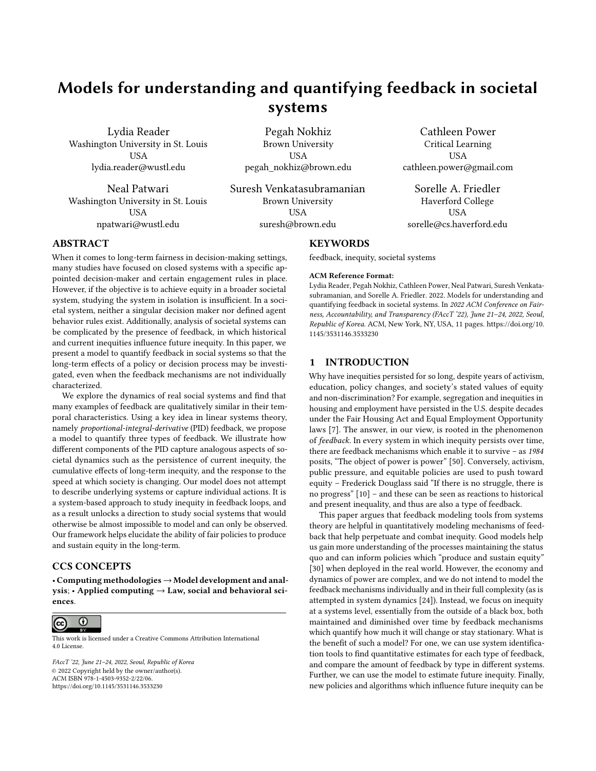# Models for understanding and quantifying feedback in societal systems

Lydia Reader Washington University in St. Louis USA lydia.reader@wustl.edu

Neal Patwari Washington University in St. Louis USA npatwari@wustl.edu

Pegah Nokhiz Brown University USA pegah\_nokhiz@brown.edu

Suresh Venkatasubramanian Brown University USA suresh@brown.edu

Critical Learning USA cathleen.power@gmail.com

Cathleen Power

Sorelle A. Friedler Haverford College USA sorelle@cs.haverford.edu

# ABSTRACT

When it comes to long-term fairness in decision-making settings, many studies have focused on closed systems with a specific appointed decision-maker and certain engagement rules in place. However, if the objective is to achieve equity in a broader societal system, studying the system in isolation is insufficient. In a societal system, neither a singular decision maker nor defined agent behavior rules exist. Additionally, analysis of societal systems can be complicated by the presence of feedback, in which historical and current inequities influence future inequity. In this paper, we present a model to quantify feedback in social systems so that the long-term effects of a policy or decision process may be investigated, even when the feedback mechanisms are not individually characterized.

We explore the dynamics of real social systems and find that many examples of feedback are qualitatively similar in their temporal characteristics. Using a key idea in linear systems theory, namely proportional-integral-derivative (PID) feedback, we propose a model to quantify three types of feedback. We illustrate how different components of the PID capture analogous aspects of societal dynamics such as the persistence of current inequity, the cumulative effects of long-term inequity, and the response to the speed at which society is changing. Our model does not attempt to describe underlying systems or capture individual actions. It is a system-based approach to study inequity in feedback loops, and as a result unlocks a direction to study social systems that would otherwise be almost impossible to model and can only be observed. Our framework helps elucidate the ability of fair policies to produce and sustain equity in the long-term.

# CCS CONCEPTS

• Computing methodologies→Model development and analysis; • Applied computing  $\rightarrow$  Law, social and behavioral sciences.



This work is licensed under a [Creative Commons Attribution International](https://creativecommons.org/licenses/by/4.0/) [4.0 License.](https://creativecommons.org/licenses/by/4.0/)

FAccT '22, June 21–24, 2022, Seoul, Republic of Korea © 2022 Copyright held by the owner/author(s). ACM ISBN 978-1-4503-9352-2/22/06. <https://doi.org/10.1145/3531146.3533230>

#### **KEYWORDS**

feedback, inequity, societal systems

#### ACM Reference Format:

Lydia Reader, Pegah Nokhiz, Cathleen Power, Neal Patwari, Suresh Venkatasubramanian, and Sorelle A. Friedler. 2022. Models for understanding and quantifying feedback in societal systems. In 2022 ACM Conference on Fairness, Accountability, and Transparency (FAccT '22), June 21–24, 2022, Seoul, Republic of Korea. ACM, New York, NY, USA, [11](#page-10-0) pages. [https://doi.org/10.](https://doi.org/10.1145/3531146.3533230) [1145/3531146.3533230](https://doi.org/10.1145/3531146.3533230)

## 1 INTRODUCTION

Why have inequities persisted for so long, despite years of activism, education, policy changes, and society's stated values of equity and non-discrimination? For example, segregation and inequities in housing and employment have persisted in the U.S. despite decades under the Fair Housing Act and Equal Employment Opportunity laws [\[7\]](#page-9-0). The answer, in our view, is rooted in the phenomenon of feedback. In every system in which inequity persists over time, there are feedback mechanisms which enable it to survive – as 1984 posits, "The object of power is power" [\[50\]](#page-10-1). Conversely, activism, public pressure, and equitable policies are used to push toward equity – Frederick Douglass said "If there is no struggle, there is no progress" [\[10\]](#page-9-1) – and these can be seen as reactions to historical and present inequality, and thus are also a type of feedback.

This paper argues that feedback modeling tools from systems theory are helpful in quantitatively modeling mechanisms of feedback that help perpetuate and combat inequity. Good models help us gain more understanding of the processes maintaining the status quo and can inform policies which "produce and sustain equity" [\[30\]](#page-10-2) when deployed in the real world. However, the economy and dynamics of power are complex, and we do not intend to model the feedback mechanisms individually and in their full complexity (as is attempted in system dynamics [\[24\]](#page-10-3)). Instead, we focus on inequity at a systems level, essentially from the outside of a black box, both maintained and diminished over time by feedback mechanisms which quantify how much it will change or stay stationary. What is the benefit of such a model? For one, we can use system identification tools to find quantitative estimates for each type of feedback, and compare the amount of feedback by type in different systems. Further, we can use the model to estimate future inequity. Finally, new policies and algorithms which influence future inequity can be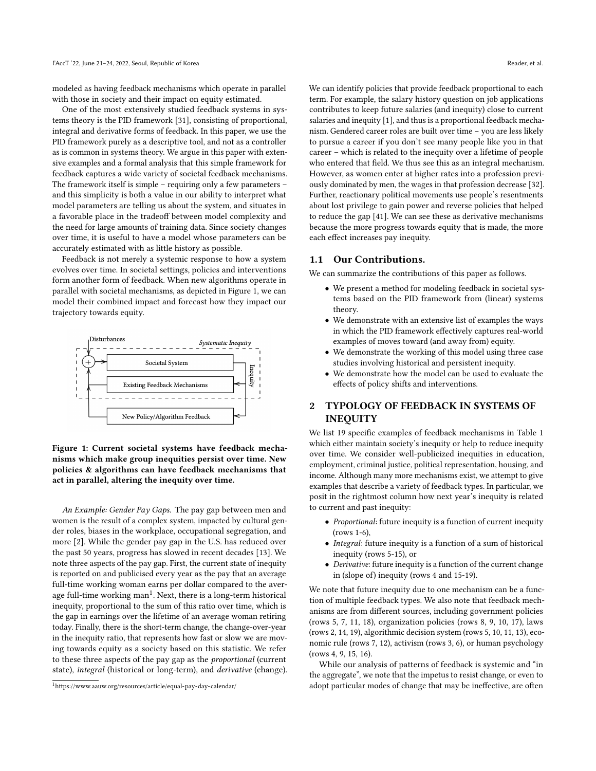modeled as having feedback mechanisms which operate in parallel with those in society and their impact on equity estimated.

One of the most extensively studied feedback systems in systems theory is the PID framework [\[31\]](#page-10-4), consisting of proportional, integral and derivative forms of feedback. In this paper, we use the PID framework purely as a descriptive tool, and not as a controller as is common in systems theory. We argue in this paper with extensive examples and a formal analysis that this simple framework for feedback captures a wide variety of societal feedback mechanisms. The framework itself is simple – requiring only a few parameters – and this simplicity is both a value in our ability to interpret what model parameters are telling us about the system, and situates in a favorable place in the tradeoff between model complexity and the need for large amounts of training data. Since society changes over time, it is useful to have a model whose parameters can be accurately estimated with as little history as possible.

Feedback is not merely a systemic response to how a system evolves over time. In societal settings, policies and interventions form another form of feedback. When new algorithms operate in parallel with societal mechanisms, as depicted in Figure [1,](#page-1-0) we can model their combined impact and forecast how they impact our trajectory towards equity.

<span id="page-1-0"></span>

Figure 1: Current societal systems have feedback mechanisms which make group inequities persist over time. New policies & algorithms can have feedback mechanisms that act in parallel, altering the inequity over time.

An Example: Gender Pay Gaps. The pay gap between men and women is the result of a complex system, impacted by cultural gender roles, biases in the workplace, occupational segregation, and more [\[2\]](#page-9-2). While the gender pay gap in the U.S. has reduced over the past 50 years, progress has slowed in recent decades [\[13\]](#page-9-3). We note three aspects of the pay gap. First, the current state of inequity is reported on and publicised every year as the pay that an average full-time working woman earns per dollar compared to the average full-time working  $\text{man}^1$  $\text{man}^1$ . Next, there is a long-term historical inequity, proportional to the sum of this ratio over time, which is the gap in earnings over the lifetime of an average woman retiring today. Finally, there is the short-term change, the change-over-year in the inequity ratio, that represents how fast or slow we are moving towards equity as a society based on this statistic. We refer to these three aspects of the pay gap as the proportional (current state), integral (historical or long-term), and derivative (change). We can identify policies that provide feedback proportional to each term. For example, the salary history question on job applications contributes to keep future salaries (and inequity) close to current salaries and inequity [\[1\]](#page-9-4), and thus is a proportional feedback mechanism. Gendered career roles are built over time – you are less likely to pursue a career if you don't see many people like you in that career – which is related to the inequity over a lifetime of people who entered that field. We thus see this as an integral mechanism. However, as women enter at higher rates into a profession previously dominated by men, the wages in that profession decrease [\[32\]](#page-10-5). Further, reactionary political movements use people's resentments about lost privilege to gain power and reverse policies that helped to reduce the gap [\[41\]](#page-10-6). We can see these as derivative mechanisms because the more progress towards equity that is made, the more each effect increases pay inequity.

#### 1.1 Our Contributions.

We can summarize the contributions of this paper as follows.

- We present a method for modeling feedback in societal systems based on the PID framework from (linear) systems theory.
- We demonstrate with an extensive list of examples the ways in which the PID framework effectively captures real-world examples of moves toward (and away from) equity.
- We demonstrate the working of this model using three case studies involving historical and persistent inequity.
- We demonstrate how the model can be used to evaluate the effects of policy shifts and interventions.

# 2 TYPOLOGY OF FEEDBACK IN SYSTEMS OF INEQUITY

We list 19 specific examples of feedback mechanisms in Table [1](#page-2-0) which either maintain society's inequity or help to reduce inequity over time. We consider well-publicized inequities in education, employment, criminal justice, political representation, housing, and income. Although many more mechanisms exist, we attempt to give examples that describe a variety of feedback types. In particular, we posit in the rightmost column how next year's inequity is related to current and past inequity:

- Proportional: future inequity is a function of current inequity (rows 1-6),
- Integral: future inequity is a function of a sum of historical inequity (rows 5-15), or
- Derivative: future inequity is a function of the current change in (slope of) inequity (rows 4 and 15-19).

We note that future inequity due to one mechanism can be a function of multiple feedback types. We also note that feedback mechanisms are from different sources, including government policies (rows 5, 7, 11, 18), organization policies (rows 8, 9, 10, 17), laws (rows 2, 14, 19), algorithmic decision system (rows 5, 10, 11, 13), economic rule (rows 7, 12), activism (rows 3, 6), or human psychology (rows 4, 9, 15, 16).

While our analysis of patterns of feedback is systemic and "in the aggregate", we note that the impetus to resist change, or even to adopt particular modes of change that may be ineffective, are often

<span id="page-1-1"></span><sup>1</sup><https://www.aauw.org/resources/article/equal-pay-day-calendar/>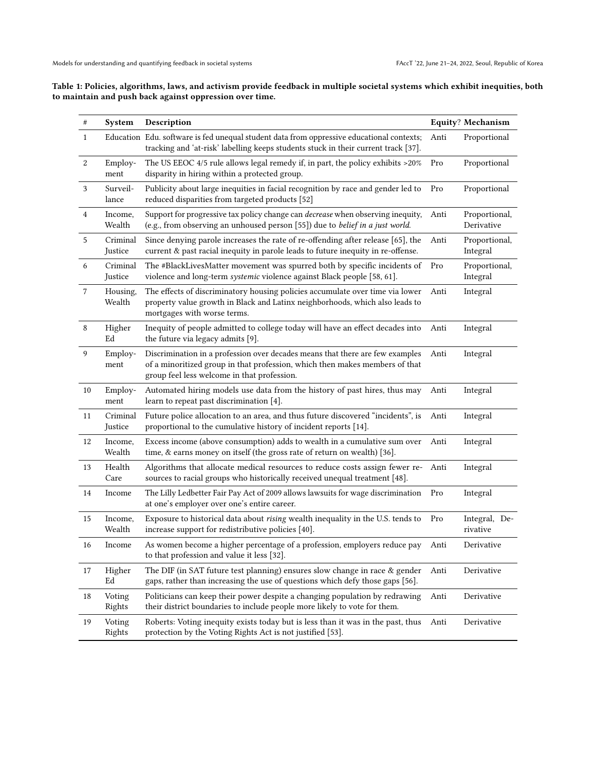# <span id="page-2-0"></span>Table 1: Policies, algorithms, laws, and activism provide feedback in multiple societal systems which exhibit inequities, both to maintain and push back against oppression over time.

| #                | System              | Description                                                                                                                                                                                                 |      | <b>Equity? Mechanism</b>    |
|------------------|---------------------|-------------------------------------------------------------------------------------------------------------------------------------------------------------------------------------------------------------|------|-----------------------------|
| $\mathbf{1}$     |                     | Education Edu. software is fed unequal student data from oppressive educational contexts;<br>tracking and 'at-risk' labelling keeps students stuck in their current track [37].                             | Anti | Proportional                |
| $\boldsymbol{2}$ | Employ-<br>ment     | The US EEOC 4/5 rule allows legal remedy if, in part, the policy exhibits >20%<br>disparity in hiring within a protected group.                                                                             | Pro  | Proportional                |
| 3                | Surveil-<br>lance   | Publicity about large inequities in facial recognition by race and gender led to<br>reduced disparities from targeted products [52]                                                                         | Pro  | Proportional                |
| 4                | Income,<br>Wealth   | Support for progressive tax policy change can <i>decrease</i> when observing inequity,<br>(e.g., from observing an unhoused person [55]) due to belief in a just world.                                     | Anti | Proportional,<br>Derivative |
| 5                | Criminal<br>Justice | Since denying parole increases the rate of re-offending after release [65], the<br>current & past racial inequity in parole leads to future inequity in re-offense.                                         | Anti | Proportional,<br>Integral   |
| 6                | Criminal<br>Justice | The #BlackLivesMatter movement was spurred both by specific incidents of<br>violence and long-term systemic violence against Black people [58, 61].                                                         | Pro  | Proportional,<br>Integral   |
| 7                | Housing,<br>Wealth  | The effects of discriminatory housing policies accumulate over time via lower<br>property value growth in Black and Latinx neighborhoods, which also leads to<br>mortgages with worse terms.                | Anti | Integral                    |
| 8                | Higher<br>Ed        | Inequity of people admitted to college today will have an effect decades into<br>the future via legacy admits [9].                                                                                          | Anti | Integral                    |
| 9                | Employ-<br>ment     | Discrimination in a profession over decades means that there are few examples<br>of a minoritized group in that profession, which then makes members of that<br>group feel less welcome in that profession. | Anti | Integral                    |
| 10               | Employ-<br>ment     | Automated hiring models use data from the history of past hires, thus may<br>learn to repeat past discrimination [4].                                                                                       | Anti | Integral                    |
| 11               | Criminal<br>Justice | Future police allocation to an area, and thus future discovered "incidents", is<br>proportional to the cumulative history of incident reports [14].                                                         | Anti | Integral                    |
| 12               | Income,<br>Wealth   | Excess income (above consumption) adds to wealth in a cumulative sum over<br>time, & earns money on itself (the gross rate of return on wealth) [36].                                                       | Anti | Integral                    |
| 13               | Health<br>Care      | Algorithms that allocate medical resources to reduce costs assign fewer re-<br>sources to racial groups who historically received unequal treatment [48].                                                   | Anti | Integral                    |
| 14               | Income              | The Lilly Ledbetter Fair Pay Act of 2009 allows lawsuits for wage discrimination<br>at one's employer over one's entire career.                                                                             | Pro  | Integral                    |
| 15               | Income,<br>Wealth   | Exposure to historical data about rising wealth inequality in the U.S. tends to<br>increase support for redistributive policies [40].                                                                       | Pro  | Integral, De-<br>rivative   |
| 16               | Income              | As women become a higher percentage of a profession, employers reduce pay Anti<br>to that profession and value it less [32].                                                                                |      | Derivative                  |
| 17               | Higher<br>Ed        | The DIF (in SAT future test planning) ensures slow change in race & gender<br>gaps, rather than increasing the use of questions which defy those gaps [56].                                                 | Anti | Derivative                  |
| 18               | Voting<br>Rights    | Politicians can keep their power despite a changing population by redrawing<br>their district boundaries to include people more likely to vote for them.                                                    | Anti | Derivative                  |
| 19               | Voting<br>Rights    | Roberts: Voting inequity exists today but is less than it was in the past, thus<br>protection by the Voting Rights Act is not justified [53].                                                               | Anti | Derivative                  |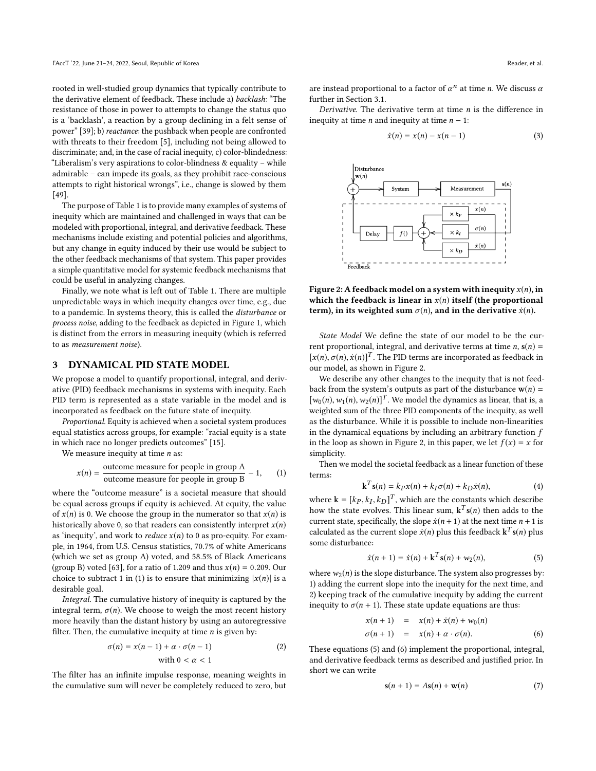rooted in well-studied group dynamics that typically contribute to the derivative element of feedback. These include a) backlash: "The resistance of those in power to attempts to change the status quo is a 'backlash', a reaction by a group declining in a felt sense of power" [\[39\]](#page-10-18); b) reactance: the pushback when people are confronted with threats to their freedom [\[5\]](#page-9-8), including not being allowed to discriminate; and, in the case of racial inequity, c) color-blindedness: "Liberalism's very aspirations to color-blindness & equality – while admirable – can impede its goals, as they prohibit race-conscious attempts to right historical wrongs", i.e., change is slowed by them [\[49\]](#page-10-19).

The purpose of Table [1](#page-2-0) is to provide many examples of systems of inequity which are maintained and challenged in ways that can be modeled with proportional, integral, and derivative feedback. These mechanisms include existing and potential policies and algorithms, but any change in equity induced by their use would be subject to the other feedback mechanisms of that system. This paper provides a simple quantitative model for systemic feedback mechanisms that could be useful in analyzing changes.

Finally, we note what is left out of Table [1.](#page-2-0) There are multiple unpredictable ways in which inequity changes over time, e.g., due to a pandemic. In systems theory, this is called the disturbance or process noise, adding to the feedback as depicted in Figure [1,](#page-1-0) which is distinct from the errors in measuring inequity (which is referred to as measurement noise).

#### <span id="page-3-5"></span>3 DYNAMICAL PID STATE MODEL

We propose a model to quantify proportional, integral, and derivative (PID) feedback mechanisms in systems with inequity. Each PID term is represented as a state variable in the model and is incorporated as feedback on the future state of inequity.

Proportional. Equity is achieved when a societal system produces equal statistics across groups, for example: "racial equity is a state in which race no longer predicts outcomes" [\[15\]](#page-9-9).

We measure inequity at time  $n$  as:

<span id="page-3-0"></span>
$$
x(n) = \frac{\text{outcome measure for people in group A}}{\text{outcome measure for people in group B}} - 1,\qquad(1)
$$

where the "outcome measure" is a societal measure that should be equal across groups if equity is achieved. At equity, the value of  $x(n)$  is 0. We choose the group in the numerator so that  $x(n)$  is historically above 0, so that readers can consistently interpret  $x(n)$ as 'inequity', and work to *reduce*  $x(n)$  to 0 as pro-equity. For example, in 1964, from U.S. Census statistics, 70.7% of white Americans (which we set as group A) voted, and 58.5% of Black Americans (group B) voted [\[63\]](#page-10-20), for a ratio of 1.209 and thus  $x(n) = 0.209$ . Our choice to subtract 1 in [\(1\)](#page-3-0) is to ensure that minimizing  $|x(n)|$  is a desirable goal.

Integral. The cumulative history of inequity is captured by the integral term,  $\sigma(n)$ . We choose to weigh the most recent history more heavily than the distant history by using an autoregressive filter. Then, the cumulative inequity at time  $n$  is given by:

$$
\sigma(n) = x(n-1) + \alpha \cdot \sigma(n-1)
$$
\nwith  $0 < \alpha < 1$ \n
$$
(2)
$$

The filter has an infinite impulse response, meaning weights in the cumulative sum will never be completely reduced to zero, but

are instead proportional to a factor of  $\alpha^n$  at time *n*. We discuss  $\alpha$ <br>further in Section 3.1 further in Section [3.1.](#page-4-0)

Derivative. The derivative term at time  $n$  is the difference in inequity at time *n* and inequity at time  $n - 1$ :

$$
\dot{x}(n) = x(n) - x(n-1)
$$
 (3)

<span id="page-3-1"></span>

Figure 2: A feedback model on a system with inequity  $x(n)$ , in which the feedback is linear in  $x(n)$  itself (the proportional term), in its weighted sum  $\sigma(n)$ , and in the derivative  $\dot{x}(n)$ .

State Model We define the state of our model to be the current proportional, integral, and derivative terms at time  $n$ ,  $s(n)$  =  $[x(n), \sigma(n), \dot{x}(n)]^T$ . The PID terms are incorporated as feedback in our model, as shown in Figure 2. our model, as shown in Figure [2.](#page-3-1)

We describe any other changes to the inequity that is not feedback from the system's outputs as part of the disturbance  $w(n)$  =  $[w_0(n), w_1(n), w_2(n)]^T$ . We model the dynamics as linear, that is, a weighted sum of the three PID components of the inequity as well weighted sum of the three PID components of the inequity, as well as the disturbance. While it is possible to include non-linearities in the dynamical equations by including an arbitrary function  $f$ in the loop as shown in Figure [2,](#page-3-1) in this paper, we let  $f(x) = x$  for simplicity.

Then we model the societal feedback as a linear function of these terms:

$$
\mathbf{k}^T \mathbf{s}(n) = k_P x(n) + k_I \sigma(n) + k_D \dot{x}(n),\tag{4}
$$

where  $\mathbf{k} = [kp, k_I, k_D]^T$ , which are the constants which describe<br>how the state evolves. This linear sum  $\mathbf{k}^T \mathbf{s}(n)$  then adds to the how the state evolves. This linear sum,  $k^T s(n)$  then adds to the current state specifically the slope  $\dot{x}(n+1)$  at the next time  $n+1$  is current state, specifically, the slope  $\dot{x}(n + 1)$  at the next time  $n + 1$  is calculated as the current slope  $\dot{x}(n)$  plus this feedback  ${\bf k}^T{\bf s}(n)$  plus some disturbance: some disturbance:

<span id="page-3-2"></span>
$$
\dot{x}(n+1) = \dot{x}(n) + k^{T} s(n) + w_{2}(n),
$$
\n(5)

where  $w_2(n)$  is the slope disturbance. The system also progresses by: 1) adding the current slope into the inequity for the next time, and 2) keeping track of the cumulative inequity by adding the current inequity to  $\sigma(n + 1)$ . These state update equations are thus:

<span id="page-3-3"></span>
$$
x(n + 1) = x(n) + \dot{x}(n) + w_0(n)
$$
  
\n
$$
\sigma(n + 1) = x(n) + \alpha \cdot \sigma(n).
$$
 (6)

These equations [\(5\)](#page-3-2) and [\(6\)](#page-3-3) implement the proportional, integral, and derivative feedback terms as described and justified prior. In short we can write

<span id="page-3-4"></span>
$$
s(n+1) = As(n) + w(n)
$$
 (7)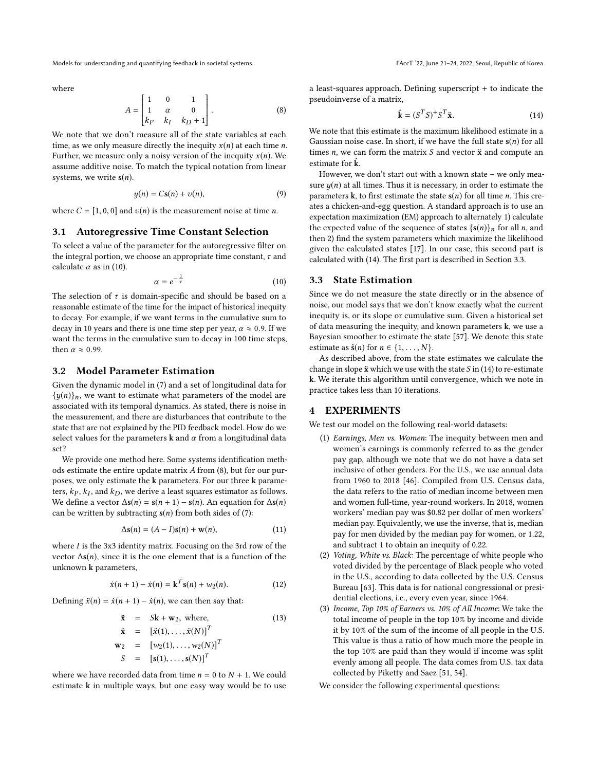Models for understanding and quantifying feedback in societal systems FACCT '22, June 21-24, 2022, Seoul, Republic of Korea

where

<span id="page-4-2"></span>
$$
A = \begin{bmatrix} 1 & 0 & 1 \\ 1 & \alpha & 0 \\ k_P & k_I & k_D + 1 \end{bmatrix}.
$$
 (8)

 $\begin{bmatrix} k_P & k_I & k_D + 1 \end{bmatrix}$ <br>We note that we don't measure all of the state variables at each time, as we only measure directly the inequity  $x(n)$  at each time *n*. Further, we measure only a noisy version of the inequity  $x(n)$ . We assume additive noise. To match the typical notation from linear systems, we write  $s(n)$ .

$$
y(n) = Cs(n) + v(n),
$$
\n(9)

where  $C = [1, 0, 0]$  and  $v(n)$  is the measurement noise at time *n*.

## <span id="page-4-0"></span>3.1 Autoregressive Time Constant Selection

To select a value of the parameter for the autoregressive filter on the integral portion, we choose an appropriate time constant,  $\tau$  and calculate  $\alpha$  as in [\(10\)](#page-4-1).

<span id="page-4-1"></span>
$$
\alpha = e^{-\frac{1}{\tau}} \tag{10}
$$

The selection of  $\tau$  is domain-specific and should be based on a reasonable estimate of the time for the impact of historical inequity to decay. For example, if we want terms in the cumulative sum to decay in 10 years and there is one time step per year,  $\alpha \approx 0.9$ . If we want the terms in the cumulative sum to decay in 100 time steps, then  $\alpha \approx 0.99$ .

#### 3.2 Model Parameter Estimation

Given the dynamic model in [\(7\)](#page-3-4) and a set of longitudinal data for  $\{y(n)\}_n$ , we want to estimate what parameters of the model are associated with its temporal dynamics. As stated, there is noise in the measurement, and there are disturbances that contribute to the state that are not explained by the PID feedback model. How do we select values for the parameters  $k$  and  $\alpha$  from a longitudinal data set?

We provide one method here. Some systems identification methods estimate the entire update matrix A from [\(8\)](#page-4-2), but for our purposes, we only estimate the k parameters. For our three k parameters,  $kp, k_I$ , and  $k_D$ , we derive a least squares estimator as follows.<br>We define a vector  $\Delta \epsilon(n) = \epsilon(n+1) - \epsilon(n)$ . An equation for  $\Delta \epsilon(n)$ . We define a vector  $\Delta s(n) = s(n + 1) - s(n)$ . An equation for  $\Delta s(n)$ can be written by subtracting  $s(n)$  from both sides of [\(7\)](#page-3-4):

$$
\Delta \mathbf{s}(n) = (A - I)\mathbf{s}(n) + \mathbf{w}(n),\tag{11}
$$

where *I* is the 3x3 identity matrix. Focusing on the 3rd row of the vector  $\Delta s(n)$ , since it is the one element that is a function of the unknown k parameters,

$$
\dot{x}(n+1) - \dot{x}(n) = \mathbf{k}^{T} \mathbf{s}(n) + w_{2}(n). \tag{12}
$$

Defining  $\ddot{x}(n) = \dot{x}(n + 1) - \dot{x}(n)$ , we can then say that:

$$
\ddot{\mathbf{x}} = S\mathbf{k} + \mathbf{w}_2, \text{ where,}
$$
  
\n
$$
\ddot{\mathbf{x}} = [\ddot{x}(1), ..., \ddot{x}(N)]^T
$$
  
\n
$$
\mathbf{w}_2 = [w_2(1), ..., w_2(N)]^T
$$
  
\n
$$
S = [s(1), ..., s(N)]^T
$$

where we have recorded data from time  $n = 0$  to  $N + 1$ . We could estimate k in multiple ways, but one easy way would be to use

a least-squares approach. Defining superscript + to indicate the pseudoinverse of a matrix,

<span id="page-4-3"></span>
$$
\hat{\mathbf{k}} = (S^T S)^+ S^T \ddot{\mathbf{x}}.\tag{14}
$$

We note that this estimate is the maximum likelihood estimate in a Gaussian noise case. In short, if we have the full state  $s(n)$  for all times  $n$ , we can form the matrix  $S$  and vector  $\ddot{x}$  and compute an estimate for  $\bf k$ .

However, we don't start out with a known state – we only measure  $y(n)$  at all times. Thus it is necessary, in order to estimate the parameters k, to first estimate the state  $s(n)$  for all time *n*. This creates a chicken-and-egg question. A standard approach is to use an expectation maximization (EM) approach to alternately 1) calculate the expected value of the sequence of states  $\{s(n)\}_n$  for all *n*, and then 2) find the system parameters which maximize the likelihood given the calculated states [\[17\]](#page-9-10). In our case, this second part is calculated with [\(14\)](#page-4-3). The first part is described in Section [3.3.](#page-4-4)

## <span id="page-4-4"></span>3.3 State Estimation

Since we do not measure the state directly or in the absence of noise, our model says that we don't know exactly what the current inequity is, or its slope or cumulative sum. Given a historical set of data measuring the inequity, and known parameters  $k$ , we use a Bayesian smoother to estimate the state [\[57\]](#page-10-21). We denote this state estimate as  $\hat{\mathbf{s}}(n)$  for  $n \in \{1, \ldots, N\}$ .

As described above, from the state estimates we calculate the change in slope  $\ddot{x}$  which we use with the state  $S$  in [\(14\)](#page-4-3) to re-estimate k. We iterate this algorithm until convergence, which we note in practice takes less than 10 iterations.

## 4 EXPERIMENTS

We test our model on the following real-world datasets:

- (1) Earnings, Men vs. Women: The inequity between men and women's earnings is commonly referred to as the gender pay gap, although we note that we do not have a data set inclusive of other genders. For the U.S., we use annual data from 1960 to 2018 [\[46\]](#page-10-22). Compiled from U.S. Census data, the data refers to the ratio of median income between men and women full-time, year-round workers. In 2018, women workers' median pay was \$0.82 per dollar of men workers' median pay. Equivalently, we use the inverse, that is, median pay for men divided by the median pay for women, or 1.22, and subtract 1 to obtain an inequity of 0.22.
- (2) Voting, White vs. Black: The percentage of white people who voted divided by the percentage of Black people who voted in the U.S., according to data collected by the U.S. Census Bureau [\[63\]](#page-10-20). This data is for national congressional or presidential elections, i.e., every even year, since 1964.
- (3) Income, Top 10% of Earners vs. 10% of All Income: We take the total income of people in the top 10% by income and divide it by 10% of the sum of the income of all people in the U.S. This value is thus a ratio of how much more the people in the top 10% are paid than they would if income was split evenly among all people. The data comes from U.S. tax data collected by Piketty and Saez [\[51,](#page-10-23) [54\]](#page-10-24).

We consider the following experimental questions: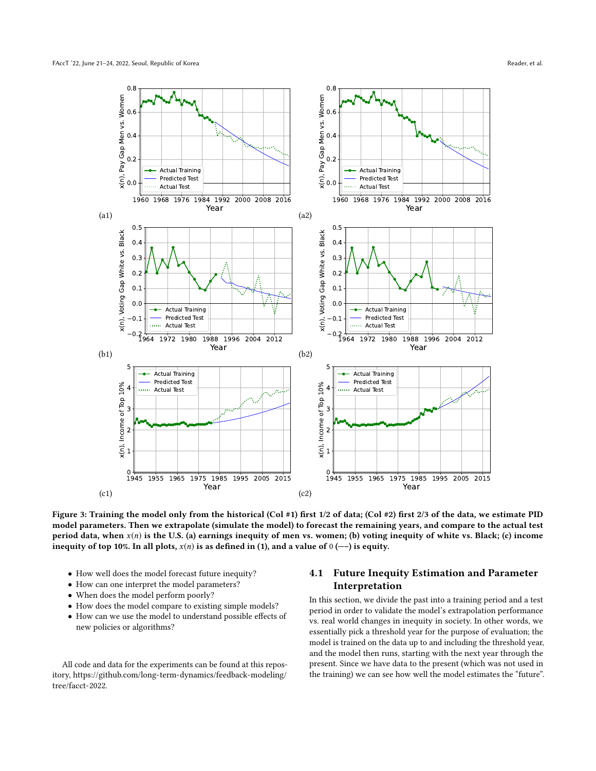<span id="page-5-1"></span>

Figure 3: Training the model only from the historical (Col #1) first 1/2 of data; (Col #2) first 2/3 of the data, we estimate PID model parameters. Then we extrapolate (simulate the model) to forecast the remaining years, and compare to the actual test period data, when  $x(n)$  is the U.S. (a) earnings inequity of men vs. women; (b) voting inequity of white vs. Black; (c) income inequity of top 10%. In all plots,  $x(n)$  is as defined in [\(1\)](#page-3-0), and a value of  $0$  (--) is equity.

- How well does the model forecast future inequity?
- How can one interpret the model parameters?
- When does the model perform poorly?
- How does the model compare to existing simple models?
- How can we use the model to understand possible effects of new policies or algorithms?

All code and data for the experiments can be found at this repository, [https://github.com/long-term-dynamics/feedback-modeling/](https://github.com/long-term-dynamics/feedback-modeling/tree/facct-2022) [tree/facct-2022.](https://github.com/long-term-dynamics/feedback-modeling/tree/facct-2022)

# <span id="page-5-0"></span>4.1 Future Inequity Estimation and Parameter Interpretation

In this section, we divide the past into a training period and a test period in order to validate the model's extrapolation performance vs. real world changes in inequity in society. In other words, we essentially pick a threshold year for the purpose of evaluation; the model is trained on the data up to and including the threshold year, and the model then runs, starting with the next year through the present. Since we have data to the present (which was not used in the training) we can see how well the model estimates the "future".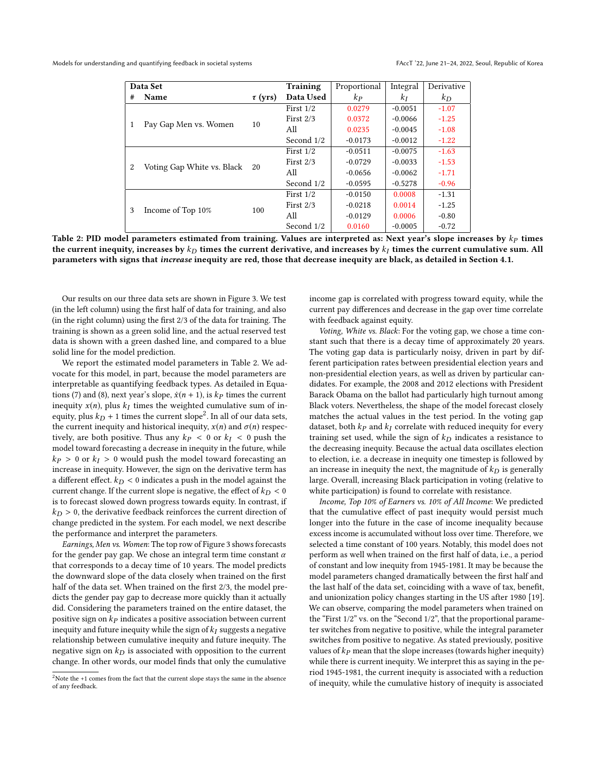<span id="page-6-0"></span>

|                | Data Set                   | Proportional | Integral    | Derivative       |           |         |
|----------------|----------------------------|--------------|-------------|------------------|-----------|---------|
| #              | Name                       | $\tau$ (yrs) | Data Used   | $\mathbf{k}_{P}$ | $k_I$     | $k_D$   |
| 1              | Pay Gap Men vs. Women      | 10           | First $1/2$ | 0.0279           | $-0.0051$ | $-1.07$ |
|                |                            |              | First $2/3$ | 0.0372           | $-0.0066$ | $-1.25$ |
|                |                            |              | All         | 0.0235           | $-0.0045$ | $-1.08$ |
|                |                            |              | Second 1/2  | $-0.0173$        | $-0.0012$ | $-1.22$ |
| $\overline{2}$ | Voting Gap White vs. Black | 20           | First $1/2$ | $-0.0511$        | $-0.0075$ | $-1.63$ |
|                |                            |              | First $2/3$ | $-0.0729$        | $-0.0033$ | $-1.53$ |
|                |                            |              | All         | $-0.0656$        | $-0.0062$ | $-1.71$ |
|                |                            |              | Second 1/2  | $-0.0595$        | $-0.5278$ | $-0.96$ |
| 3              | Income of Top 10%          | 100          | First $1/2$ | $-0.0150$        | 0.0008    | $-1.31$ |
|                |                            |              | First $2/3$ | $-0.0218$        | 0.0014    | $-1.25$ |
|                |                            |              | All         | $-0.0129$        | 0.0006    | $-0.80$ |
|                |                            |              | Second 1/2  | 0.0160           | $-0.0005$ | $-0.72$ |

Table 2: PID model parameters estimated from training. Values are interpreted as: Next year's slope increases by  $k_P$  times the current inequity, increases by  $k_D$  times the current derivative, and increases by  $k_I$  times the current cumulative sum. All parameters with signs that increase inequity are red, those that decrease inequity are black, as detailed in Section [4.1.](#page-5-0)

Our results on our three data sets are shown in Figure [3.](#page-5-1) We test (in the left column) using the first half of data for training, and also (in the right column) using the first 2/3 of the data for training. The training is shown as a green solid line, and the actual reserved test data is shown with a green dashed line, and compared to a blue solid line for the model prediction.

We report the estimated model parameters in Table [2.](#page-6-0) We advocate for this model, in part, because the model parameters are interpretable as quantifying feedback types. As detailed in Equa-tions [\(7\)](#page-3-4) and [\(8\)](#page-4-2), next year's slope,  $\dot{x}(n + 1)$ , is  $kp$  times the current inequity  $x(n)$ , plus  $k_I$  times the weighted cumulative sum of in-<br>equity plus  $k_D + 1$  times the current slope<sup>2</sup>. In all of our data sets equity, plus  $k_D + 1$  times the current slope<sup>[2](#page-6-1)</sup>. In all of our data sets,<br>the current inequity and historical inequity  $x(n)$  and  $\sigma(n)$  respectively the current inequity and historical inequity,  $x(n)$  and  $\sigma(n)$  respectively, are both positive. Thus any  $kp < 0$  or  $k_I < 0$  push the model toward forecasting a decrease in inequity in the future, while  $kp > 0$  or  $k_l > 0$  would push the model toward forecasting an increase in inequity. However, the sign on the derivative term has a different effect.  $k_D < 0$  indicates a push in the model against the current change. If the current slope is negative, the effect of  $k_D < 0$ is to forecast slowed down progress towards equity. In contrast, if  $k_D > 0$ , the derivative feedback reinforces the current direction of change predicted in the system. For each model, we next describe the performance and interpret the parameters.

Earnings, Men vs. Women: The top row of Figure [3](#page-5-1) shows forecasts for the gender pay gap. We chose an integral term time constant  $\alpha$ that corresponds to a decay time of 10 years. The model predicts the downward slope of the data closely when trained on the first half of the data set. When trained on the first 2/3, the model predicts the gender pay gap to decrease more quickly than it actually did. Considering the parameters trained on the entire dataset, the positive sign on  $kp$  indicates a positive association between current inequity and future inequity while the sign of  $k_I$  suggests a negative relationship between cumulative inequity and future inequity. The negative sign on  $k_D$  is associated with opposition to the current change. In other words, our model finds that only the cumulative

income gap is correlated with progress toward equity, while the current pay differences and decrease in the gap over time correlate with feedback against equity.

Voting, White vs. Black: For the voting gap, we chose a time constant such that there is a decay time of approximately 20 years. The voting gap data is particularly noisy, driven in part by different participation rates between presidential election years and non-presidential election years, as well as driven by particular candidates. For example, the 2008 and 2012 elections with President Barack Obama on the ballot had particularly high turnout among Black voters. Nevertheless, the shape of the model forecast closely matches the actual values in the test period. In the voting gap dataset, both  $kp$  and  $k_I$  correlate with reduced inequity for every training set used, while the sign of  $k_D$  indicates a resistance to the decreasing inequity. Because the actual data oscillates election to election, i.e. a decrease in inequity one timestep is followed by an increase in inequity the next, the magnitude of  $k_D$  is generally large. Overall, increasing Black participation in voting (relative to white participation) is found to correlate with resistance.

Income, Top 10% of Earners vs. 10% of All Income: We predicted that the cumulative effect of past inequity would persist much longer into the future in the case of income inequality because excess income is accumulated without loss over time. Therefore, we selected a time constant of 100 years. Notably, this model does not perform as well when trained on the first half of data, i.e., a period of constant and low inequity from 1945-1981. It may be because the model parameters changed dramatically between the first half and the last half of the data set, coinciding with a wave of tax, benefit, and unionization policy changes starting in the US after 1980 [\[19\]](#page-9-11). We can observe, comparing the model parameters when trained on the "First 1/2" vs. on the "Second 1/2", that the proportional parameter switches from negative to positive, while the integral parameter switches from positive to negative. As stated previously, positive values of  $kp$  mean that the slope increases (towards higher inequity) while there is current inequity. We interpret this as saying in the period 1945-1981, the current inequity is associated with a reduction of inequity, while the cumulative history of inequity is associated

<span id="page-6-1"></span><sup>&</sup>lt;sup>2</sup>Note the +1 comes from the fact that the current slope stays the same in the absence of any feedback.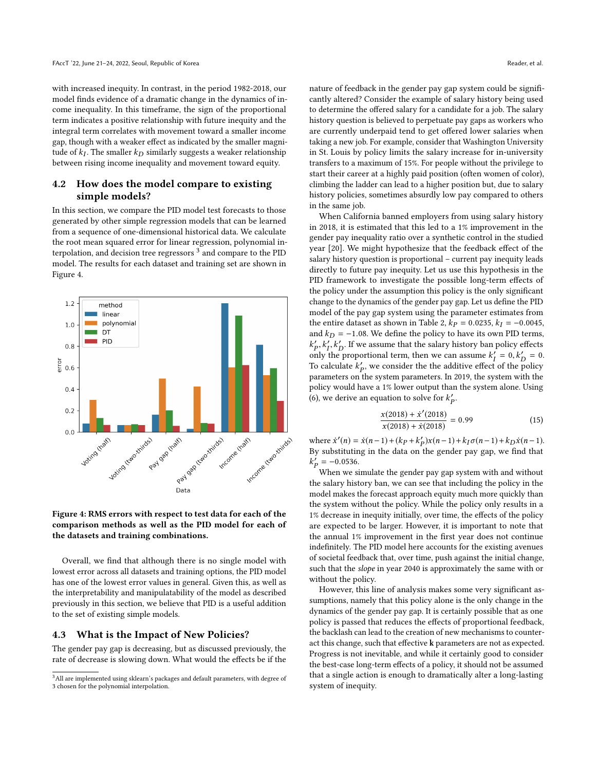with increased inequity. In contrast, in the period 1982-2018, our model finds evidence of a dramatic change in the dynamics of income inequality. In this timeframe, the sign of the proportional term indicates a positive relationship with future inequity and the integral term correlates with movement toward a smaller income gap, though with a weaker effect as indicated by the smaller magnitude of  $k_I$ . The smaller  $k_D$  similarly suggests a weaker relationship<br>between rising income inequality and movement toward equity between rising income inequality and movement toward equity.

# 4.2 How does the model compare to existing simple models?

In this section, we compare the PID model test forecasts to those generated by other simple regression models that can be learned from a sequence of one-dimensional historical data. We calculate the root mean squared error for linear regression, polynomial interpolation, and decision tree regressors  $^3$  $^3$  and compare to the PID model. The results for each dataset and training set are shown in Figure [4.](#page-7-1)

<span id="page-7-1"></span>

## Figure 4: RMS errors with respect to test data for each of the comparison methods as well as the PID model for each of the datasets and training combinations.

Overall, we find that although there is no single model with lowest error across all datasets and training options, the PID model has one of the lowest error values in general. Given this, as well as the interpretability and manipulatability of the model as described previously in this section, we believe that PID is a useful addition to the set of existing simple models.

#### <span id="page-7-2"></span>4.3 What is the Impact of New Policies?

The gender pay gap is decreasing, but as discussed previously, the rate of decrease is slowing down. What would the effects be if the nature of feedback in the gender pay gap system could be significantly altered? Consider the example of salary history being used to determine the offered salary for a candidate for a job. The salary history question is believed to perpetuate pay gaps as workers who are currently underpaid tend to get offered lower salaries when taking a new job. For example, consider that Washington University in St. Louis by policy limits the salary increase for in-university transfers to a maximum of 15%. For people without the privilege to start their career at a highly paid position (often women of color), climbing the ladder can lead to a higher position but, due to salary history policies, sometimes absurdly low pay compared to others in the same job.

When California banned employers from using salary history in 2018, it is estimated that this led to a 1% improvement in the gender pay inequality ratio over a synthetic control in the studied year [\[20\]](#page-9-12). We might hypothesize that the feedback effect of the salary history question is proportional – current pay inequity leads directly to future pay inequity. Let us use this hypothesis in the PID framework to investigate the possible long-term effects of the policy under the assumption this policy is the only significant change to the dynamics of the gender pay gap. Let us define the PID model of the pay gap system using the parameter estimates from the entire dataset as shown in Table [2,](#page-6-0)  $kp = 0.0235$ ,  $k_I = -0.0045$ , and  $k_D = -1.08$ . We define the policy to have its own PID terms,  $k'_f = 0, k'_D = 0.$ <br>To calculate k', we consider the the additive effect of the policy  $'_{P}$ ,  $k'_{I}$ ,  $k'_{D}$ . If we assume that the salary history ban policy effects To calculate  $k'_p$ , we consider the the additive effect of the policy<br>parameters on the system parameters. In 2019, the system with the parameters on the system parameters. In 2019, the system with the policy would have a 1% lower output than the system alone. Using [\(6\)](#page-3-3), we derive an equation to solve for  $k'_p$ .

$$
\frac{x(2018) + x'(2018)}{x(2018) + x(2018)} = 0.99
$$
\n(15)

where  $\dot{x}'(n) = \dot{x}(n-1) + (kp + k'_p)x(n-1) + k_I\sigma(n-1) + k_D\dot{x}(n-1)$ .<br>By substituting in the data on the gender pay gan we find that By substituting in the data on the gender pay gap, we find that  $p = -0.0536.$  When we si

When we simulate the gender pay gap system with and without the salary history ban, we can see that including the policy in the model makes the forecast approach equity much more quickly than the system without the policy. While the policy only results in a 1% decrease in inequity initially, over time, the effects of the policy are expected to be larger. However, it is important to note that the annual 1% improvement in the first year does not continue indefinitely. The PID model here accounts for the existing avenues of societal feedback that, over time, push against the initial change, such that the slope in year 2040 is approximately the same with or without the policy.

However, this line of analysis makes some very significant assumptions, namely that this policy alone is the only change in the dynamics of the gender pay gap. It is certainly possible that as one policy is passed that reduces the effects of proportional feedback, the backlash can lead to the creation of new mechanisms to counteract this change, such that effective k parameters are not as expected. Progress is not inevitable, and while it certainly good to consider the best-case long-term effects of a policy, it should not be assumed that a single action is enough to dramatically alter a long-lasting system of inequity.

<span id="page-7-0"></span><sup>&</sup>lt;sup>3</sup>All are implemented using sklearn's packages and default parameters, with degree of 3 chosen for the polynomial interpolation.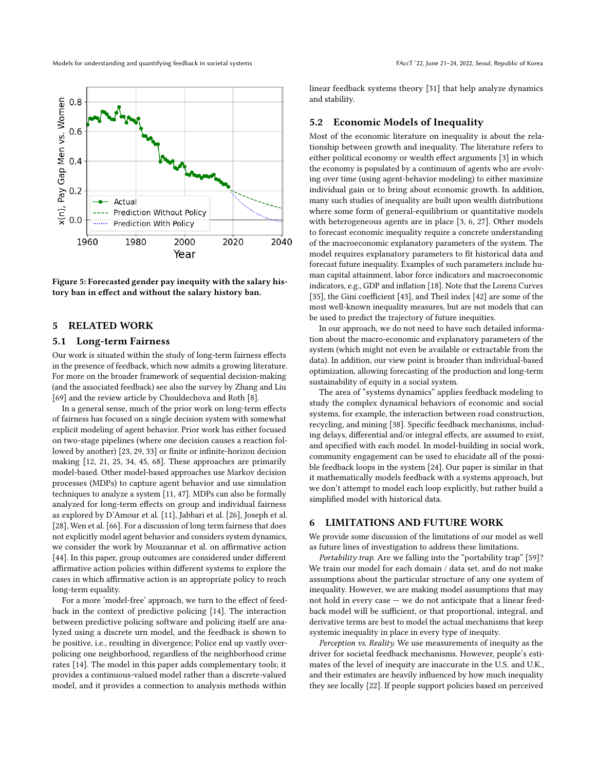

Figure 5: Forecasted gender pay inequity with the salary history ban in effect and without the salary history ban.

## 5 RELATED WORK

### 5.1 Long-term Fairness

Our work is situated within the study of long-term fairness effects in the presence of feedback, which now admits a growing literature. For more on the broader framework of sequential decision-making (and the associated feedback) see also the survey by Zhang and Liu [\[69\]](#page-10-25) and the review article by Chouldechova and Roth [\[8\]](#page-9-13).

In a general sense, much of the prior work on long-term effects of fairness has focused on a single decision system with somewhat explicit modeling of agent behavior. Prior work has either focused on two-stage pipelines (where one decision causes a reaction fol-lowed by another) [\[23,](#page-10-26) [29,](#page-10-27) [33\]](#page-10-28) or finite or infinite-horizon decision making [\[12,](#page-9-14) [21,](#page-10-29) [25,](#page-10-30) [34,](#page-10-31) [45,](#page-10-32) [68\]](#page-10-33). These approaches are primarily model-based. Other model-based approaches use Markov decision processes (MDPs) to capture agent behavior and use simulation techniques to analyze a system [\[11,](#page-9-15) [47\]](#page-10-34). MDPs can also be formally analyzed for long-term effects on group and individual fairness as explored by D'Amour et al. [\[11\]](#page-9-15), Jabbari et al. [\[26\]](#page-10-35), Joseph et al. [\[28\]](#page-10-36), Wen et al. [\[66\]](#page-10-37). For a discussion of long term fairness that does not explicitly model agent behavior and considers system dynamics, we consider the work by Mouzannar et al. on affirmative action [\[44\]](#page-10-38). In this paper, group outcomes are considered under different affirmative action policies within different systems to explore the cases in which affirmative action is an appropriate policy to reach long-term equality.

For a more 'model-free' approach, we turn to the effect of feedback in the context of predictive policing [\[14\]](#page-9-7). The interaction between predictive policing software and policing itself are analyzed using a discrete urn model, and the feedback is shown to be positive, i.e., resulting in divergence; Police end up vastly overpolicing one neighborhood, regardless of the neighborhood crime rates [\[14\]](#page-9-7). The model in this paper adds complementary tools; it provides a continuous-valued model rather than a discrete-valued model, and it provides a connection to analysis methods within

linear feedback systems theory [\[31\]](#page-10-4) that help analyze dynamics and stability.

## 5.2 Economic Models of Inequality

Most of the economic literature on inequality is about the relationship between growth and inequality. The literature refers to either political economy or wealth effect arguments [\[3\]](#page-9-16) in which the economy is populated by a continuum of agents who are evolving over time (using agent-behavior modeling) to either maximize individual gain or to bring about economic growth. In addition, many such studies of inequality are built upon wealth distributions where some form of general-equilibrium or quantitative models with heterogeneous agents are in place [\[3,](#page-9-16) [6,](#page-9-17) [27\]](#page-10-39). Other models to forecast economic inequality require a concrete understanding of the macroeconomic explanatory parameters of the system. The model requires explanatory parameters to fit historical data and forecast future inequality. Examples of such parameters include human capital attainment, labor force indicators and macroeconomic indicators, e.g., GDP and inflation [\[18\]](#page-9-18). Note that the Lorenz Curves [\[35\]](#page-10-40), the Gini coefficient [\[43\]](#page-10-41), and Theil index [\[42\]](#page-10-42) are some of the most well-known inequality measures, but are not models that can be used to predict the trajectory of future inequities.

In our approach, we do not need to have such detailed information about the macro-economic and explanatory parameters of the system (which might not even be available or extractable from the data). In addition, our view point is broader than individual-based optimization, allowing forecasting of the production and long-term sustainability of equity in a social system.

The area of "systems dynamics" applies feedback modeling to study the complex dynamical behaviors of economic and social systems, for example, the interaction between road construction, recycling, and mining [\[38\]](#page-10-43). Specific feedback mechanisms, including delays, differential and/or integral effects, are assumed to exist, and specified with each model. In model-building in social work, community engagement can be used to elucidate all of the possible feedback loops in the system [\[24\]](#page-10-3). Our paper is similar in that it mathematically models feedback with a systems approach, but we don't attempt to model each loop explicitly, but rather build a simplified model with historical data.

## 6 LIMITATIONS AND FUTURE WORK

We provide some discussion of the limitations of our model as well as future lines of investigation to address these limitations.

Portability trap. Are we falling into the "portability trap" [\[59\]](#page-10-44)? We train our model for each domain / data set, and do not make assumptions about the particular structure of any one system of inequality. However, we are making model assumptions that may not hold in every case — we do not anticipate that a linear feedback model will be sufficient, or that proportional, integral, and derivative terms are best to model the actual mechanisms that keep systemic inequality in place in every type of inequity.

Perception vs. Reality. We use measurements of inequity as the driver for societal feedback mechanisms. However, people's estimates of the level of inequity are inaccurate in the U.S. and U.K., and their estimates are heavily influenced by how much inequality they see locally [\[22\]](#page-10-45). If people support policies based on perceived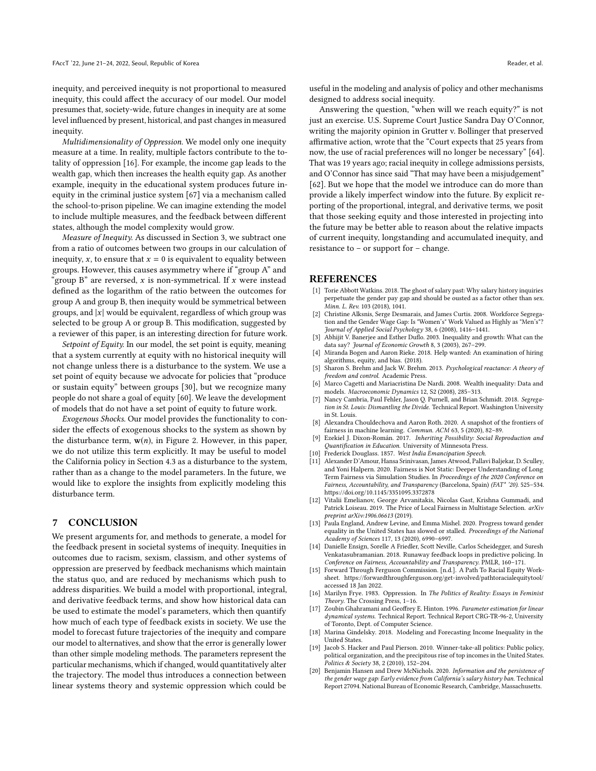inequity, and perceived inequity is not proportional to measured inequity, this could affect the accuracy of our model. Our model presumes that, society-wide, future changes in inequity are at some level influenced by present, historical, and past changes in measured inequity.

Multidimensionality of Oppression. We model only one inequity measure at a time. In reality, multiple factors contribute to the totality of oppression [\[16\]](#page-9-19). For example, the income gap leads to the wealth gap, which then increases the health equity gap. As another example, inequity in the educational system produces future inequity in the criminal justice system [\[67\]](#page-10-46) via a mechanism called the school-to-prison pipeline. We can imagine extending the model to include multiple measures, and the feedback between different states, although the model complexity would grow.

Measure of Inequity. As discussed in Section [3,](#page-3-5) we subtract one from a ratio of outcomes between two groups in our calculation of inequity, x, to ensure that  $x = 0$  is equivalent to equality between groups. However, this causes asymmetry where if "group A" and "group B" are reversed, x is non-symmetrical. If x were instead defined as the logarithm of the ratio between the outcomes for group A and group B, then inequity would be symmetrical between groups, and  $|x|$  would be equivalent, regardless of which group was selected to be group A or group B. This modification, suggested by a reviewer of this paper, is an interesting direction for future work.

Setpoint of Equity. In our model, the set point is equity, meaning that a system currently at equity with no historical inequity will not change unless there is a disturbance to the system. We use a set point of equity because we advocate for policies that "produce or sustain equity" between groups [\[30\]](#page-10-2), but we recognize many people do not share a goal of equity [\[60\]](#page-10-47). We leave the development of models that do not have a set point of equity to future work.

Exogenous Shocks. Our model provides the functionality to consider the effects of exogenous shocks to the system as shown by the disturbance term,  $w(n)$ , in Figure [2.](#page-3-1) However, in this paper, we do not utilize this term explicitly. It may be useful to model the California policy in Section [4.3](#page-7-2) as a disturbance to the system, rather than as a change to the model parameters. In the future, we would like to explore the insights from explicitly modeling this disturbance term.

#### 7 CONCLUSION

We present arguments for, and methods to generate, a model for the feedback present in societal systems of inequity. Inequities in outcomes due to racism, sexism, classism, and other systems of oppression are preserved by feedback mechanisms which maintain the status quo, and are reduced by mechanisms which push to address disparities. We build a model with proportional, integral, and derivative feedback terms, and show how historical data can be used to estimate the model's parameters, which then quantify how much of each type of feedback exists in society. We use the model to forecast future trajectories of the inequity and compare our model to alternatives, and show that the error is generally lower than other simple modeling methods. The parameters represent the particular mechanisms, which if changed, would quantitatively alter the trajectory. The model thus introduces a connection between linear systems theory and systemic oppression which could be

useful in the modeling and analysis of policy and other mechanisms designed to address social inequity.

Answering the question, "when will we reach equity?" is not just an exercise. U.S. Supreme Court Justice Sandra Day O'Connor, writing the majority opinion in Grutter v. Bollinger that preserved affirmative action, wrote that the "Court expects that 25 years from now, the use of racial preferences will no longer be necessary" [\[64\]](#page-10-48). That was 19 years ago; racial inequity in college admissions persists, and O'Connor has since said "That may have been a misjudgement" [\[62\]](#page-10-49). But we hope that the model we introduce can do more than provide a likely imperfect window into the future. By explicit reporting of the proportional, integral, and derivative terms, we posit that those seeking equity and those interested in projecting into the future may be better able to reason about the relative impacts of current inequity, longstanding and accumulated inequity, and resistance to – or support for – change.

#### REFERENCES

- <span id="page-9-4"></span>[1] Torie Abbott Watkins. 2018. The ghost of salary past: Why salary history inquiries perpetuate the gender pay gap and should be ousted as a factor other than sex. Minn. L. Rev. 103 (2018), 1041.
- <span id="page-9-2"></span>[2] Christine Alksnis, Serge Desmarais, and James Curtis. 2008. Workforce Segregation and the Gender Wage Gap: Is "Women's" Work Valued as Highly as "Men's"? Journal of Applied Social Psychology 38, 6 (2008), 1416–1441.
- <span id="page-9-16"></span>Abhijit V. Banerjee and Esther Duflo. 2003. Inequality and growth: What can the data say? Journal of Economic Growth 8, 3 (2003), 267–299.
- <span id="page-9-6"></span>[4] Miranda Bogen and Aaron Rieke. 2018. Help wanted: An examination of hiring algorithms, equity, and bias. (2018).
- <span id="page-9-8"></span>[5] Sharon S. Brehm and Jack W. Brehm. 2013. Psychological reactance: A theory of freedom and control. Academic Press.
- <span id="page-9-17"></span>[6] Marco Cagetti and Mariacristina De Nardi. 2008. Wealth inequality: Data and models. Macroeconomic Dynamics 12, S2 (2008), 285–313.
- <span id="page-9-0"></span>[7] Nancy Cambria, Paul Fehler, Jason Q. Purnell, and Brian Schmidt. 2018. Segregation in St. Louis: Dismantling the Divide. Technical Report. Washington University in St. Louis.
- <span id="page-9-13"></span>[8] Alexandra Chouldechova and Aaron Roth. 2020. A snapshot of the frontiers of fairness in machine learning. Commun. ACM 63, 5 (2020), 82–89.
- <span id="page-9-5"></span>[9] Ezekiel J. Dixon-Román. 2017. Inheriting Possibility: Social Reproduction and Quantification in Education. University of Minnesota Press.
- <span id="page-9-1"></span>[10] Frederick Douglass. 1857. West India Emancipation Speech.
- <span id="page-9-15"></span>[11] Alexander D'Amour, Hansa Srinivasan, James Atwood, Pallavi Baljekar, D. Sculley, and Yoni Halpern. 2020. Fairness is Not Static: Deeper Understanding of Long Term Fairness via Simulation Studies. In Proceedings of the 2020 Conference on Fairness, Accountability, and Transparency (Barcelona, Spain) (FAT\* '20). 525–534. <https://doi.org/10.1145/3351095.3372878>
- <span id="page-9-14"></span>[12] Vitalii Emelianov, George Arvanitakis, Nicolas Gast, Krishna Gummadi, and Patrick Loiseau. 2019. The Price of Local Fairness in Multistage Selection. arXiv preprint arXiv:1906.06613 (2019).
- <span id="page-9-3"></span>[13] Paula England, Andrew Levine, and Emma Mishel. 2020. Progress toward gender equality in the United States has slowed or stalled. Proceedings of the National Academy of Sciences 117, 13 (2020), 6990–6997.
- <span id="page-9-7"></span>[14] Danielle Ensign, Sorelle A Friedler, Scott Neville, Carlos Scheidegger, and Suresh Venkatasubramanian. 2018. Runaway feedback loops in predictive policing. In Conference on Fairness, Accountability and Transparency. PMLR, 160–171.
- <span id="page-9-9"></span>[15] Forward Through Ferguson Commission. [n.d.]. A Path To Racial Equity Worksheet.<https://forwardthroughferguson.org/get-involved/pathtoracialequitytool/> accessed 18 Jan 2022.
- <span id="page-9-19"></span>[16] Marilyn Frye. 1983. Oppression. In The Politics of Reality: Essays in Feminist Theory. The Crossing Press, 1–16.
- <span id="page-9-10"></span>[17] Zoubin Ghahramani and Geoffrey E. Hinton. 1996. Parameter estimation for linear dynamical systems. Technical Report. Technical Report CRG-TR-96-2, University of Toronto, Dept. of Computer Science.
- <span id="page-9-18"></span>[18] Marina Gindelsky. 2018. Modeling and Forecasting Income Inequality in the United States.
- <span id="page-9-11"></span>Jacob S. Hacker and Paul Pierson. 2010. Winner-take-all politics: Public policy, political organization, and the precipitous rise of top incomes in the United States. Politics & Society 38, 2 (2010), 152–204.
- <span id="page-9-12"></span>[20] Benjamin Hansen and Drew McNichols. 2020. Information and the persistence of the gender wage gap: Early evidence from California's salary history ban. Technical Report 27094. National Bureau of Economic Research, Cambridge, Massachusetts.